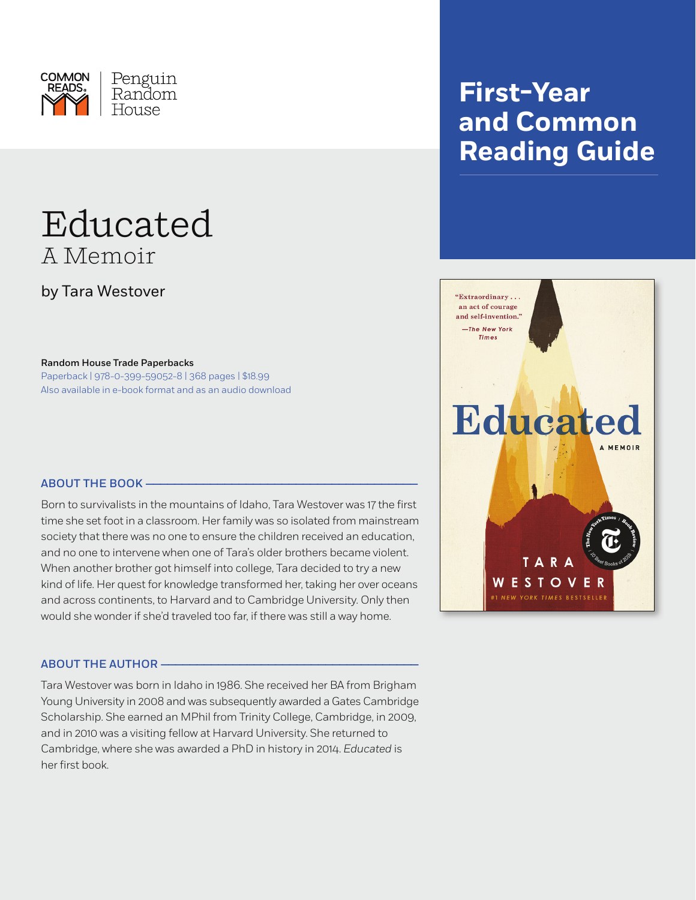

# Educated A Memoir

by Tara Westover

Random House Trade Paperbacks

Paperback | 978-0-399-59052-8 | 368 pages | \$18.99 Also available in e-book format and as an audio download

### **ABOUT THE BOOK –**

Born to survivalists in the mountains of Idaho, Tara Westover was 17 the first time she set foot in a classroom. Her family was so isolated from mainstream society that there was no one to ensure the children received an education, and no one to intervene when one of Tara's older brothers became violent. When another brother got himself into college, Tara decided to try a new kind of life. Her quest for knowledge transformed her, taking her over oceans and across continents, to Harvard and to Cambridge University. Only then would she wonder if she'd traveled too far, if there was still a way home.

### ABout the Author ————————————————————————————————————

Tara Westover was born in Idaho in 1986. She received her BA from Brigham Young University in 2008 and was subsequently awarded a Gates Cambridge Scholarship. She earned an MPhil from Trinity College, Cambridge, in 2009, and in 2010 was a visiting fellow at Harvard University. She returned to Cambridge, where she was awarded a PhD in history in 2014. *Educated* is her first book.

## **First-Year and Common Reading Guide**

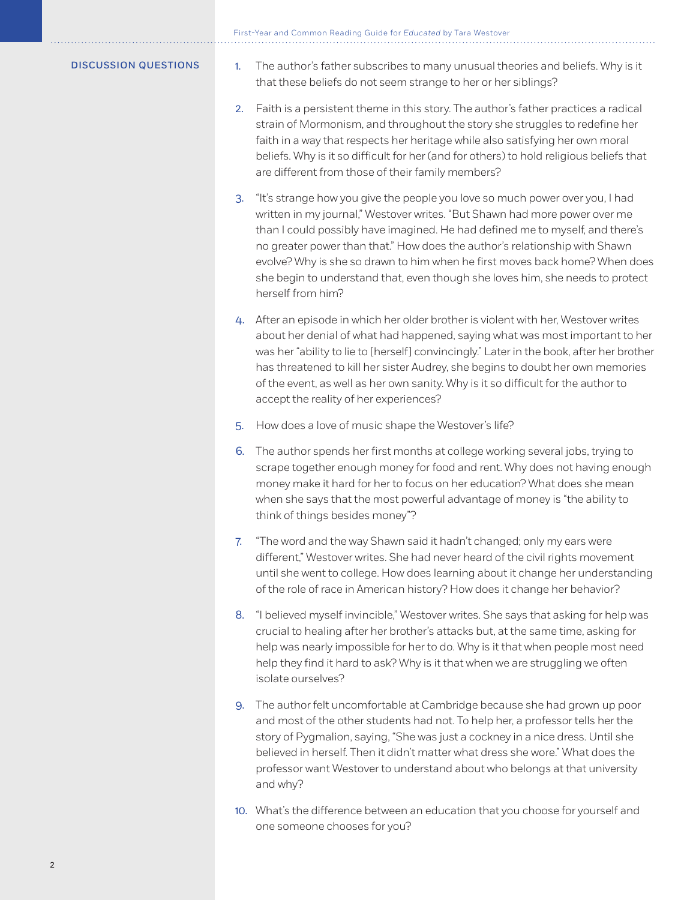First-Year and Common Reading Guide for *Educated* by Tara Westover

- Discussion Questions 1. The author's father subscribes to many unusual theories and beliefs. Why is it that these beliefs do not seem strange to her or her siblings?
	- 2. Faith is a persistent theme in this story. The author's father practices a radical strain of Mormonism, and throughout the story she struggles to redefine her faith in a way that respects her heritage while also satisfying her own moral beliefs. Why is it so difficult for her (and for others) to hold religious beliefs that are different from those of their family members?
	- 3. "It's strange how you give the people you love so much power over you, I had written in my journal," Westover writes. "But Shawn had more power over me than I could possibly have imagined. He had defined me to myself, and there's no greater power than that." How does the author's relationship with Shawn evolve? Why is she so drawn to him when he first moves back home? When does she begin to understand that, even though she loves him, she needs to protect herself from him?
	- 4. After an episode in which her older brother is violent with her, Westover writes about her denial of what had happened, saying what was most important to her was her "ability to lie to [herself] convincingly." Later in the book, after her brother has threatened to kill her sister Audrey, she begins to doubt her own memories of the event, as well as her own sanity. Why is it so difficult for the author to accept the reality of her experiences?
	- 5. How does a love of music shape the Westover's life?
	- 6. The author spends her first months at college working several jobs, trying to scrape together enough money for food and rent. Why does not having enough money make it hard for her to focus on her education? What does she mean when she says that the most powerful advantage of money is "the ability to think of things besides money"?
	- 7. "The word and the way Shawn said it hadn't changed; only my ears were different," Westover writes. She had never heard of the civil rights movement until she went to college. How does learning about it change her understanding of the role of race in American history? How does it change her behavior?
	- 8. "I believed myself invincible," Westover writes. She says that asking for help was crucial to healing after her brother's attacks but, at the same time, asking for help was nearly impossible for her to do. Why is it that when people most need help they find it hard to ask? Why is it that when we are struggling we often isolate ourselves?
	- 9. The author felt uncomfortable at Cambridge because she had grown up poor and most of the other students had not. To help her, a professor tells her the story of Pygmalion, saying, "She was just a cockney in a nice dress. Until she believed in herself. Then it didn't matter what dress she wore." What does the professor want Westover to understand about who belongs at that university and why?
	- 10. What's the difference between an education that you choose for yourself and one someone chooses for you?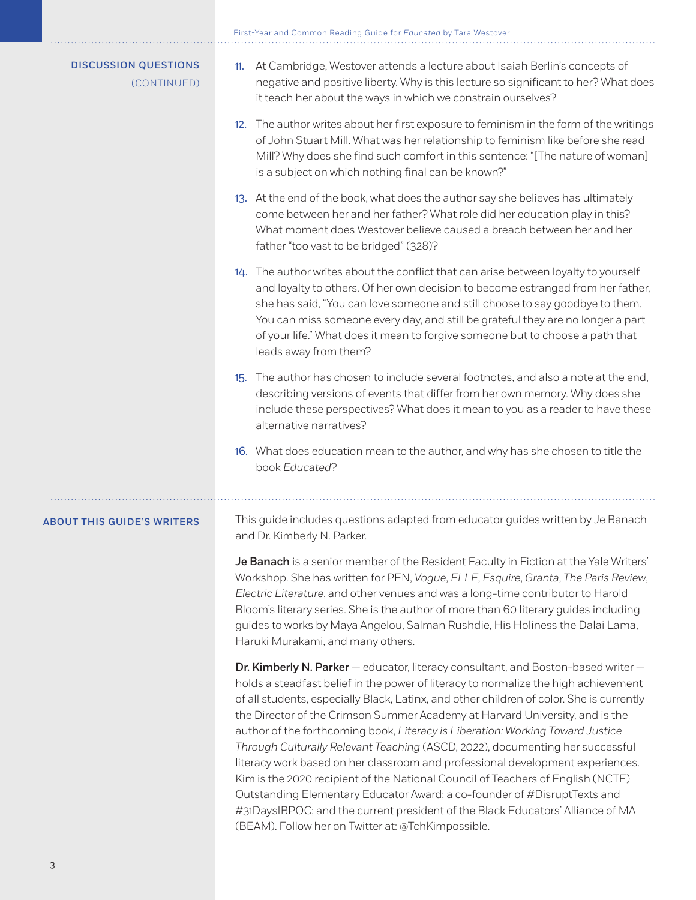First-Year and Common Reading Guide for *Educated* by Tara Westover

| <b>DISCUSSION QUESTIONS</b><br>(CONTINUED) | At Cambridge, Westover attends a lecture about Isaiah Berlin's concepts of<br>11.<br>negative and positive liberty. Why is this lecture so significant to her? What does<br>it teach her about the ways in which we constrain ourselves?<br>12. The author writes about her first exposure to feminism in the form of the writings<br>of John Stuart Mill. What was her relationship to feminism like before she read<br>Mill? Why does she find such comfort in this sentence: "[The nature of woman]<br>is a subject on which nothing final can be known?"                                                                                                                                                                                                             |
|--------------------------------------------|--------------------------------------------------------------------------------------------------------------------------------------------------------------------------------------------------------------------------------------------------------------------------------------------------------------------------------------------------------------------------------------------------------------------------------------------------------------------------------------------------------------------------------------------------------------------------------------------------------------------------------------------------------------------------------------------------------------------------------------------------------------------------|
|                                            | 13. At the end of the book, what does the author say she believes has ultimately<br>come between her and her father? What role did her education play in this?<br>What moment does Westover believe caused a breach between her and her<br>father "too vast to be bridged" (328)?                                                                                                                                                                                                                                                                                                                                                                                                                                                                                        |
|                                            | 14. The author writes about the conflict that can arise between loyalty to yourself<br>and loyalty to others. Of her own decision to become estranged from her father,<br>she has said, "You can love someone and still choose to say goodbye to them.<br>You can miss someone every day, and still be grateful they are no longer a part<br>of your life." What does it mean to forgive someone but to choose a path that<br>leads away from them?                                                                                                                                                                                                                                                                                                                      |
|                                            | 15. The author has chosen to include several footnotes, and also a note at the end,<br>describing versions of events that differ from her own memory. Why does she<br>include these perspectives? What does it mean to you as a reader to have these<br>alternative narratives?                                                                                                                                                                                                                                                                                                                                                                                                                                                                                          |
|                                            | 16. What does education mean to the author, and why has she chosen to title the<br>book Educated?                                                                                                                                                                                                                                                                                                                                                                                                                                                                                                                                                                                                                                                                        |
| <b>ABOUT THIS GUIDE'S WRITERS</b>          | This guide includes questions adapted from educator guides written by Je Banach<br>and Dr. Kimberly N. Parker.                                                                                                                                                                                                                                                                                                                                                                                                                                                                                                                                                                                                                                                           |
|                                            | Je Banach is a senior member of the Resident Faculty in Fiction at the Yale Writers'<br>Workshop. She has written for PEN, Vogue, ELLE, Esquire, Granta, The Paris Review,<br>Electric Literature, and other venues and was a long-time contributor to Harold<br>Bloom's literary series. She is the author of more than 60 literary guides including<br>guides to works by Maya Angelou, Salman Rushdie, His Holiness the Dalai Lama,<br>Haruki Murakami, and many others.                                                                                                                                                                                                                                                                                              |
|                                            | Dr. Kimberly N. Parker - educator, literacy consultant, and Boston-based writer -<br>holds a steadfast belief in the power of literacy to normalize the high achievement<br>of all students, especially Black, Latinx, and other children of color. She is currently<br>the Director of the Crimson Summer Academy at Harvard University, and is the<br>author of the forthcoming book, Literacy is Liberation: Working Toward Justice<br>Through Culturally Relevant Teaching (ASCD, 2022), documenting her successful<br>literacy work based on her classroom and professional development experiences.<br>Kim is the 2020 recipient of the National Council of Teachers of English (NCTE)<br>Outstanding Elementary Educator Award; a co-founder of #DisruptTexts and |

#31DaysIBPOC; and the current president of the Black Educators' Alliance of MA

(BEAM). Follow her on Twitter at: @TchKimpossible.